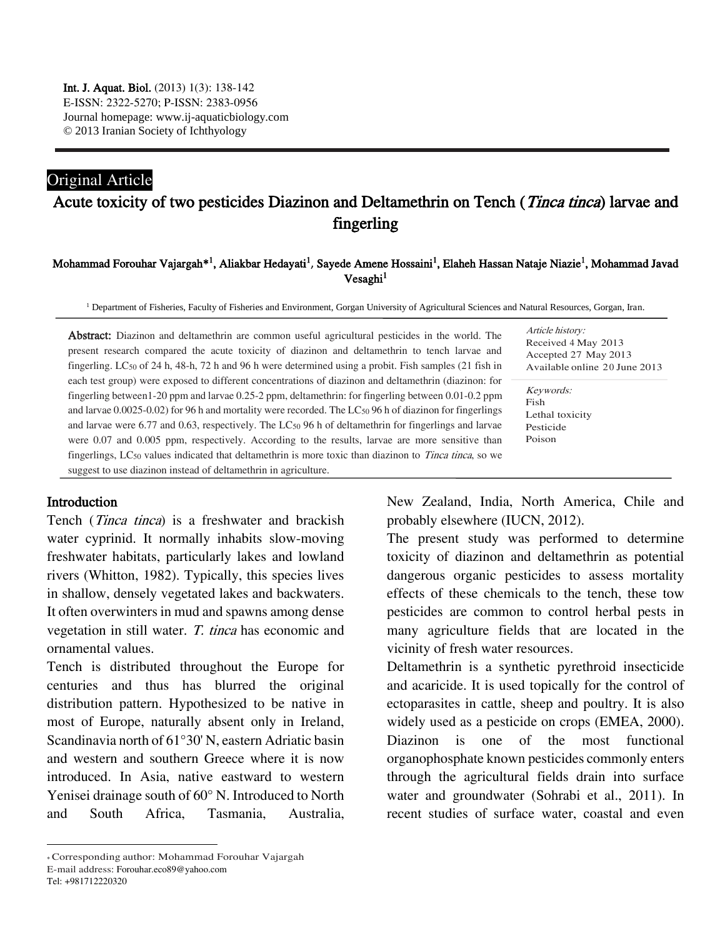## Original Article

# Acute toxicity of two pesticides Diazinon and Deltamethrin on Tench (*Tinca tinca*) larvae and fingerling

#### Mohammad Forouhar Vajargah\*<sup>1</sup>, Aliakbar Hedayati<sup>1</sup>, Sayede Amene Hossaini<sup>1</sup>, Elaheh Hassan Nataje Niazie<sup>1</sup>, Mohammad Javad  $V$ esaghi $<sup>1</sup>$ </sup>

<sup>1</sup> Department of Fisheries, Faculty of Fisheries and Environment, Gorgan University of Agricultural Sciences and Natural Resources, Gorgan, Iran.

Abstract: Diazinon and deltamethrin are common useful agricultural pesticides in the world. The present research compared the acute toxicity of diazinon and deltamethrin to tench larvae and fingerling. LC<sup>50</sup> of 24 h, 48-h, 72 h and 96 h were determined using a probit. Fish samples (21 fish in each test group) were exposed to different concentrations of diazinon and deltamethrin (diazinon: for fingerling between1-20 ppm and larvae 0.25-2 ppm, deltamethrin: for fingerling between 0.01-0.2 ppm and larvae 0.0025-0.02) for 96 h and mortality were recorded. The LC<sup>50</sup> 96 h of diazinon for fingerlings and larvae were 6.77 and 0.63, respectively. The LC<sup>50</sup> 96 h of deltamethrin for fingerlings and larvae were 0.07 and 0.005 ppm, respectively. According to the results, larvae are more sensitive than fingerlings, LC<sup>50</sup> values indicated that deltamethrin is more toxic than diazinon to Tinca tinca, so we suggest to use diazinon instead of deltamethrin in agriculture.

Article history: Received 4 May 2013 Accepted 27 May 2013 Available online 20 June 2013

Keywords: Fish Lethal toxicity Pesticide Poison

## Introduction

Tench (Tinca tinca) is a freshwater and brackish water cyprinid. It normally inhabits slow-moving freshwater habitats, particularly lakes and lowland rivers (Whitton, 1982). Typically, this species lives in shallow, densely vegetated lakes and backwaters. It often overwinters in mud and spawns among dense vegetation in still water. T. tinca has economic and ornamental values.

Tench is distributed throughout the Europe for centuries and thus has blurred the original distribution pattern. Hypothesized to be native in most of Europe, naturally absent only in Ireland, Scandinavia north of 61°30' N, eastern Adriatic basin and western and southern Greece where it is now introduced. In Asia, native eastward to western Yenisei drainage south of 60° N. Introduced to North and South Africa, Tasmania, Australia,

The present study was performed to determine toxicity of diazinon and deltamethrin as potential dangerous organic pesticides to assess mortality effects of these chemicals to the tench, these tow pesticides are common to control herbal pests in many agriculture fields that are located in the vicinity of fresh water resources.

Deltamethrin is a synthetic pyrethroid insecticide and acaricide. It is used topically for the control of ectoparasites in cattle, sheep and poultry. It is also widely used as a pesticide on crops (EMEA, 2000). Diazinon is one of the most functional organophosphate known pesticides commonly enters through the agricultural fields drain into surface water and groundwater (Sohrabi et al., 2011). In recent studies of surface water, coastal and even

Tel: +981712220320

 $\overline{a}$ 

New Zealand, India, North America, Chile and probably elsewhere (IUCN, 2012).

<sup>\*</sup> Corresponding author: Mohammad Forouhar Vajargah

E-mail address: Forouhar.eco89@yahoo.com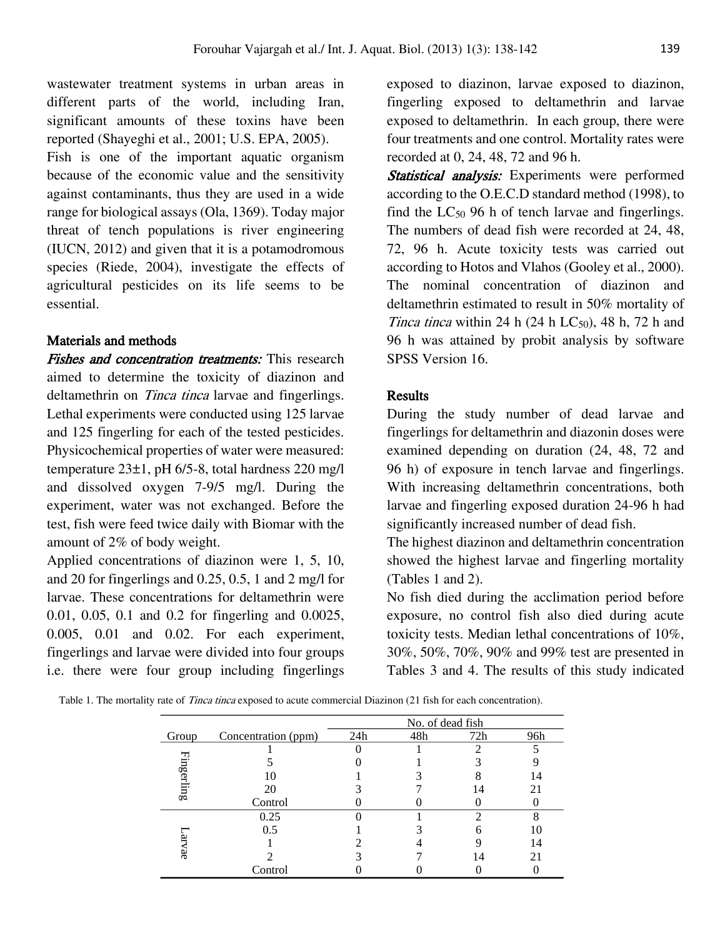wastewater treatment systems in urban areas in different parts of the world, including Iran, significant amounts of these toxins have been reported (Shayeghi et al., 2001; U.S. EPA, 2005). Fish is one of the important aquatic organism because of the economic value and the sensitivity

against contaminants, thus they are used in a wide range for biological assays (Ola, 1369). Today major threat of tench populations is river engineering (IUCN, 2012) and given that it is a potamodromous species (Riede, 2004), investigate the effects of agricultural pesticides on its life seems to be essential.

## Materials and methods

Fishes and concentration treatments: This research aimed to determine the toxicity of diazinon and deltamethrin on *Tinca tinca* larvae and fingerlings. Lethal experiments were conducted using 125 larvae and 125 fingerling for each of the tested pesticides. Physicochemical properties of water were measured: temperature 23±1, pH 6/5-8, total hardness 220 mg/l and dissolved oxygen 7-9/5 mg/l. During the experiment, water was not exchanged. Before the test, fish were feed twice daily with Biomar with the amount of 2% of body weight.

Applied concentrations of diazinon were 1, 5, 10, and 20 for fingerlings and 0.25, 0.5, 1 and 2 mg/l for larvae. These concentrations for deltamethrin were 0.01, 0.05, 0.1 and 0.2 for fingerling and 0.0025, 0.005, 0.01 and 0.02. For each experiment, fingerlings and larvae were divided into four groups i.e. there were four group including fingerlings

exposed to diazinon, larvae exposed to diazinon, fingerling exposed to deltamethrin and larvae exposed to deltamethrin. In each group, there were four treatments and one control. Mortality rates were recorded at 0, 24, 48, 72 and 96 h.

Statistical analysis: Experiments were performed according to the O.E.C.D standard method (1998), to find the  $LC_{50}$  96 h of tench larvae and fingerlings. The numbers of dead fish were recorded at 24, 48, 72, 96 h. Acute toxicity tests was carried out according to Hotos and Vlahos (Gooley et al., 2000). The nominal concentration of diazinon and deltamethrin estimated to result in 50% mortality of *Tinca tinca* within 24 h (24 h  $LC_{50}$ ), 48 h, 72 h and 96 h was attained by probit analysis by software SPSS Version 16.

## Results

During the study number of dead larvae and fingerlings for deltamethrin and diazonin doses were examined depending on duration (24, 48, 72 and 96 h) of exposure in tench larvae and fingerlings. With increasing deltamethrin concentrations, both larvae and fingerling exposed duration 24-96 h had significantly increased number of dead fish.

The highest diazinon and deltamethrin concentration showed the highest larvae and fingerling mortality (Tables 1 and 2).

No fish died during the acclimation period before exposure, no control fish also died during acute toxicity tests. Median lethal concentrations of 10%, 30%, 50%, 70%, 90% and 99% test are presented in Tables 3 and 4. The results of this study indicated

Table 1. The mortality rate of *Tinca tinca* exposed to acute commercial Diazinon (21 fish for each concentration).

|            |                     | No. of dead fish |     |     |     |
|------------|---------------------|------------------|-----|-----|-----|
| Group      | Concentration (ppm) | 24h              | 48h | 72h | 96h |
|            |                     |                  |     |     |     |
|            |                     |                  |     |     |     |
| Fingerling |                     |                  |     |     | 14  |
|            | 20                  |                  |     | 14  |     |
|            | Control             |                  |     |     |     |
| ध्र<br>Vae | 0.25                |                  |     | ∍   | Ω   |
|            | 0.5                 |                  |     |     |     |
|            |                     |                  |     |     | 14  |
|            |                     |                  |     | 14  |     |
|            | Control             |                  |     |     |     |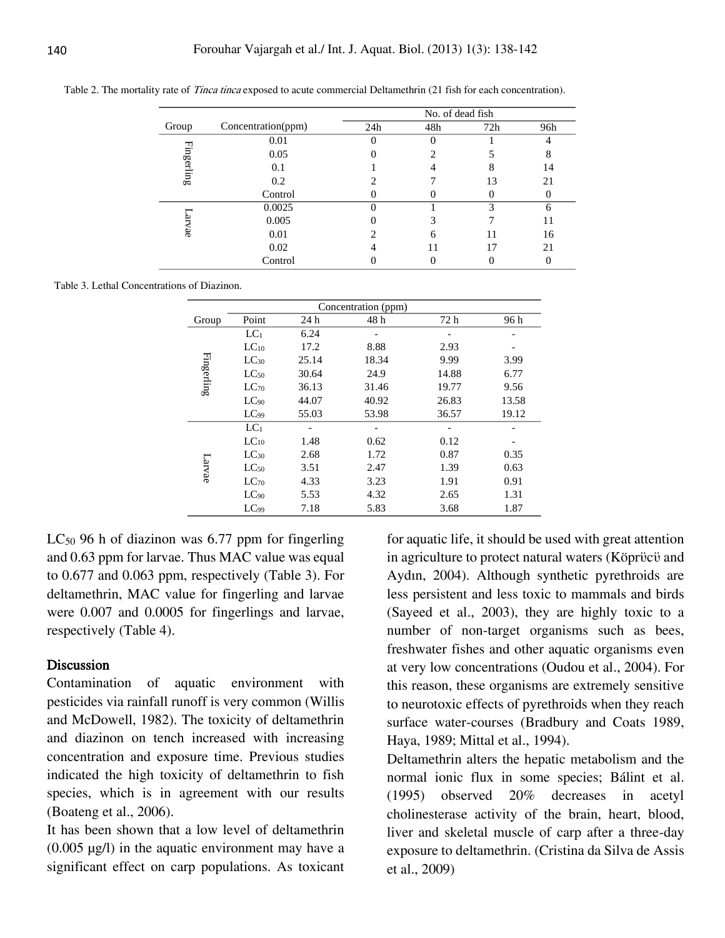|            |                    | No. of dead fish |     |     |     |  |
|------------|--------------------|------------------|-----|-----|-----|--|
| Group      | Concentration(ppm) | 24h              | 48h | 72h | 96h |  |
|            | 0.01               |                  |     |     |     |  |
|            | 0.05               |                  |     |     | 8   |  |
| Fingerling | 0.1                |                  |     | 8   | 14  |  |
|            | 0.2                |                  |     | 13  | 21  |  |
|            | Control            |                  |     |     |     |  |
|            | 0.0025             |                  |     | 3   | 6   |  |
| arvae      | 0.005              |                  |     |     | 11  |  |
|            | 0.01               |                  | h   | 11  | 16  |  |
|            | 0.02               |                  |     | 17  | 21  |  |
|            | Control            |                  |     |     |     |  |

Table 2. The mortality rate of *Tinca tinca* exposed to acute commercial Deltamethrin (21 fish for each concentration).

Table 3. Lethal Concentrations of Diazinon.

|            | Concentration (ppm) |       |       |       |       |  |
|------------|---------------------|-------|-------|-------|-------|--|
| Group      | Point               | 24h   | 48 h  | 72 h  | 96 h  |  |
| Fingerling | LC <sub>1</sub>     | 6.24  |       |       |       |  |
|            | $LC_{10}$           | 17.2  | 8.88  | 2.93  |       |  |
|            | $LC_{30}$           | 25.14 | 18.34 | 9.99  | 3.99  |  |
|            | $LC_{50}$           | 30.64 | 24.9  | 14.88 | 6.77  |  |
|            | $LC_{70}$           | 36.13 | 31.46 | 19.77 | 9.56  |  |
|            | $LC_{90}$           | 44.07 | 40.92 | 26.83 | 13.58 |  |
|            | $LC_{99}$           | 55.03 | 53.98 | 36.57 | 19.12 |  |
| Larvae     | $LC_1$              | -     |       |       |       |  |
|            | $LC_{10}$           | 1.48  | 0.62  | 0.12  |       |  |
|            | $LC_{30}$           | 2.68  | 1.72  | 0.87  | 0.35  |  |
|            | $LC_{50}$           | 3.51  | 2.47  | 1.39  | 0.63  |  |
|            | $LC_{70}$           | 4.33  | 3.23  | 1.91  | 0.91  |  |
|            | $LC_{90}$           | 5.53  | 4.32  | 2.65  | 1.31  |  |
|            | LC <sub>99</sub>    | 7.18  | 5.83  | 3.68  | 1.87  |  |

 $LC_{50}$  96 h of diazinon was 6.77 ppm for fingerling and 0.63 ppm for larvae. Thus MAC value was equal to 0.677 and 0.063 ppm, respectively (Table 3). For deltamethrin, MAC value for fingerling and larvae were 0.007 and 0.0005 for fingerlings and larvae, respectively (Table 4).

#### Discussion

Contamination of aquatic environment with pesticides via rainfall runoff is very common (Willis and McDowell, 1982). The toxicity of deltamethrin and diazinon on tench increased with increasing concentration and exposure time. Previous studies indicated the high toxicity of deltamethrin to fish species, which is in agreement with our results (Boateng et al., 2006).

It has been shown that a low level of deltamethrin  $(0.005 \mu g/l)$  in the aquatic environment may have a significant effect on carp populations. As toxicant

for aquatic life, it should be used with great attention in agriculture to protect natural waters (Kӧprϋcϋ and Aydın, 2004). Although synthetic pyrethroids are less persistent and less toxic to mammals and birds (Sayeed et al., 2003), they are highly toxic to a number of non-target organisms such as bees, freshwater fishes and other aquatic organisms even at very low concentrations (Oudou et al., 2004). For this reason, these organisms are extremely sensitive to neurotoxic effects of pyrethroids when they reach surface water-courses (Bradbury and Coats 1989, Haya, 1989; Mittal et al., 1994).

Deltamethrin alters the hepatic metabolism and the normal ionic flux in some species; Bálint et al. (1995) observed 20% decreases in acetyl cholinesterase activity of the brain, heart, blood, liver and skeletal muscle of carp after a three-day exposure to deltamethrin. (Cristina da Silva de Assis et al., 2009)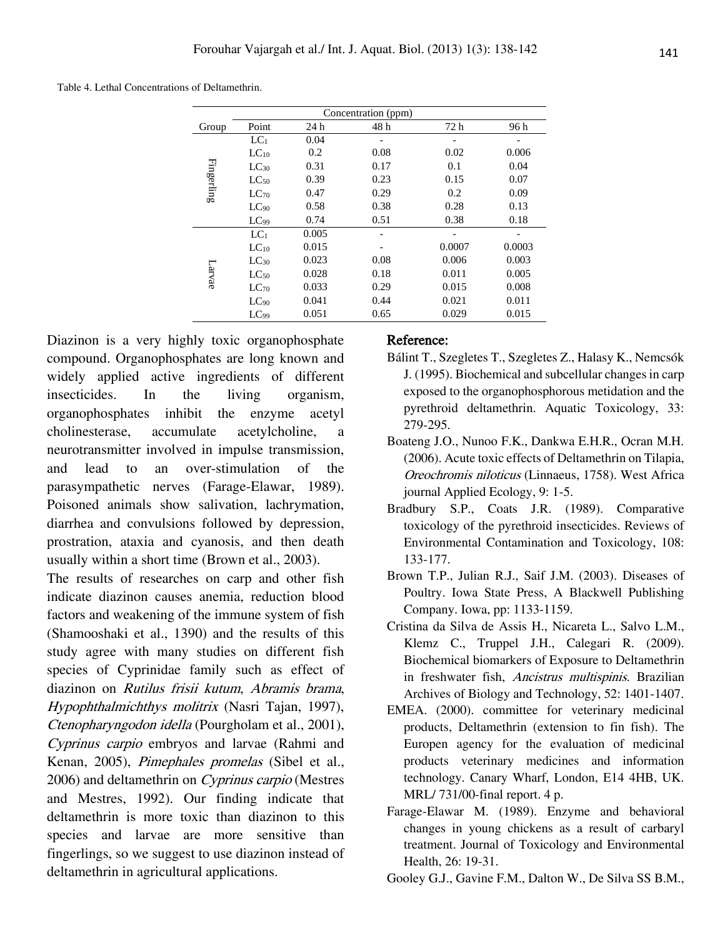Table 4. Lethal Concentrations of Deltamethrin.

| Concentration (ppm) |                 |       |      |        |        |  |
|---------------------|-----------------|-------|------|--------|--------|--|
| Group               | Point           | 24 h  | 48 h | 72 h   | 96 h   |  |
| Fingerling          | LC <sub>1</sub> | 0.04  |      |        |        |  |
|                     | $LC_{10}$       | 0.2   | 0.08 | 0.02   | 0.006  |  |
|                     | $LC_{30}$       | 0.31  | 0.17 | 0.1    | 0.04   |  |
|                     | $LC_{50}$       | 0.39  | 0.23 | 0.15   | 0.07   |  |
|                     | $LC_{70}$       | 0.47  | 0.29 | 0.2    | 0.09   |  |
|                     | $LC_{90}$       | 0.58  | 0.38 | 0.28   | 0.13   |  |
|                     | $LC_{99}$       | 0.74  | 0.51 | 0.38   | 0.18   |  |
| Larvae              | $LC_1$          | 0.005 |      |        |        |  |
|                     | $LC_{10}$       | 0.015 |      | 0.0007 | 0.0003 |  |
|                     | $LC_{30}$       | 0.023 | 0.08 | 0.006  | 0.003  |  |
|                     | $LC_{50}$       | 0.028 | 0.18 | 0.011  | 0.005  |  |
|                     | $LC_{70}$       | 0.033 | 0.29 | 0.015  | 0.008  |  |
|                     | $LC_{90}$       | 0.041 | 0.44 | 0.021  | 0.011  |  |
|                     | $LC_{99}$       | 0.051 | 0.65 | 0.029  | 0.015  |  |

Diazinon is a very highly toxic organophosphate compound. Organophosphates are long known and widely applied active ingredients of different insecticides. In the living organism, organophosphates inhibit the enzyme acetyl cholinesterase, accumulate acetylcholine, a neurotransmitter involved in impulse transmission, and lead to an over-stimulation of the parasympathetic nerves (Farage-Elawar, 1989). Poisoned animals show salivation, lachrymation, diarrhea and convulsions followed by depression, prostration, ataxia and cyanosis, and then death usually within a short time (Brown et al., 2003).

The results of researches on carp and other fish indicate diazinon causes anemia, reduction blood factors and weakening of the immune system of fish (Shamooshaki et al., 1390) and the results of this study agree with many studies on different fish species of Cyprinidae family such as effect of diazinon on Rutilus frisii kutum, Abramis brama, Hypophthalmichthys molitrix (Nasri Tajan, 1997), Ctenopharyngodon idella (Pourgholam et al., 2001), Cyprinus carpio embryos and larvae (Rahmi and Kenan, 2005), Pimephales promelas (Sibel et al., 2006) and deltamethrin on Cyprinus carpio (Mestres and Mestres, 1992). Our finding indicate that deltamethrin is more toxic than diazinon to this species and larvae are more sensitive than fingerlings, so we suggest to use diazinon instead of deltamethrin in agricultural applications.

#### Reference:

- Bálint T., Szegletes T., Szegletes Z., Halasy K., Nemcsók J. (1995). Biochemical and subcellular changes in carp exposed to the organophosphorous metidation and the pyrethroid deltamethrin. Aquatic Toxicology, 33: 279-295.
- Boateng J.O., Nunoo F.K., Dankwa E.H.R., Ocran M.H. (2006). Acute toxic effects of Deltamethrin on Tilapia, Oreochromis niloticus (Linnaeus, 1758). West Africa journal Applied Ecology, 9: 1-5.
- Bradbury S.P., Coats J.R. (1989). Comparative toxicology of the pyrethroid insecticides. Reviews of Environmental Contamination and Toxicology, 108: 133-177.
- Brown T.P., Julian R.J., Saif J.M. (2003). Diseases of Poultry. Iowa State Press, A Blackwell Publishing Company. Iowa, pp: 1133-1159.
- Cristina da Silva de Assis H., Nicareta L., Salvo L.M., Klemz C., Truppel J.H., Calegari R. (2009). Biochemical biomarkers of Exposure to Deltamethrin in freshwater fish, Ancistrus multispinis. Brazilian Archives of Biology and Technology, 52: 1401-1407.
- EMEA. (2000). committee for veterinary medicinal products, Deltamethrin (extension to fin fish). The Europen agency for the evaluation of medicinal products veterinary medicines and information technology. Canary Wharf, London, E14 4HB, UK. MRL/ 731/00-final report. 4 p.
- Farage-Elawar M. (1989). Enzyme and behavioral changes in young chickens as a result of carbaryl treatment. Journal of Toxicology and Environmental Health, 26: 19-31.
- Gooley G.J., Gavine F.M., Dalton W., De Silva SS B.M.,